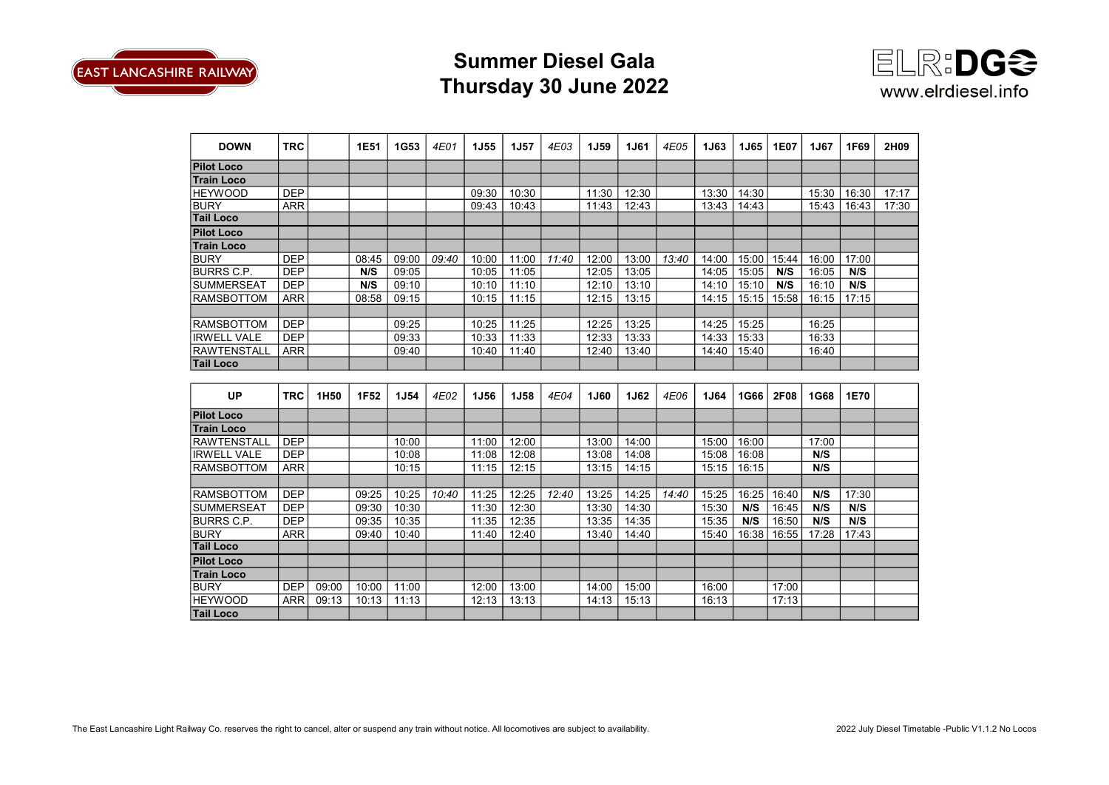

## Summer Diesel Gala Thursday 30 June 2022



| <b>DOWN</b>        | <b>TRC</b> |       | 1E51  | 1G53        | 4E01  | <b>1J55</b> | <b>1J57</b> | 4E03  | <b>1J59</b> | <b>1J61</b> | 4E05  | <b>1J63</b> | <b>1J65</b> | <b>1E07</b> | 1J67  | 1F69  | 2H09  |
|--------------------|------------|-------|-------|-------------|-------|-------------|-------------|-------|-------------|-------------|-------|-------------|-------------|-------------|-------|-------|-------|
| <b>Pilot Loco</b>  |            |       |       |             |       |             |             |       |             |             |       |             |             |             |       |       |       |
| <b>Train Loco</b>  |            |       |       |             |       |             |             |       |             |             |       |             |             |             |       |       |       |
| <b>HEYWOOD</b>     | <b>DEP</b> |       |       |             |       | 09:30       | 10:30       |       | 11:30       | 12:30       |       | 13:30       | 14:30       |             | 15:30 | 16:30 | 17:17 |
| <b>BURY</b>        | <b>ARR</b> |       |       |             |       | 09:43       | 10:43       |       | 11:43       | 12:43       |       | 13:43       | 14:43       |             | 15:43 | 16:43 | 17:30 |
| <b>Tail Loco</b>   |            |       |       |             |       |             |             |       |             |             |       |             |             |             |       |       |       |
| <b>Pilot Loco</b>  |            |       |       |             |       |             |             |       |             |             |       |             |             |             |       |       |       |
| <b>Train Loco</b>  |            |       |       |             |       |             |             |       |             |             |       |             |             |             |       |       |       |
| <b>BURY</b>        | <b>DEP</b> |       | 08:45 | 09:00       | 09:40 | 10:00       | 11:00       | 11:40 | 12:00       | 13:00       | 13:40 | 14:00       | 15:00       | 15:44       | 16:00 | 17:00 |       |
| <b>BURRS C.P.</b>  | <b>DEP</b> |       | N/S   | 09:05       |       | 10:05       | 11:05       |       | 12:05       | 13:05       |       | 14:05       | 15:05       | N/S         | 16:05 | N/S   |       |
| ISUMMERSEAT        | <b>DEP</b> |       | N/S   | 09:10       |       | 10:10       | 11:10       |       | 12:10       | 13:10       |       | 14:10       | 15:10       | N/S         | 16:10 | N/S   |       |
| <b>RAMSBOTTOM</b>  | <b>ARR</b> |       | 08:58 | 09:15       |       | 10:15       | 11:15       |       | 12:15       | 13:15       |       | 14:15       | 15:15       | 15:58       | 16:15 | 17:15 |       |
|                    |            |       |       |             |       |             |             |       |             |             |       |             |             |             |       |       |       |
| <b>RAMSBOTTOM</b>  | <b>DEP</b> |       |       | 09:25       |       | 10:25       | 11:25       |       | 12:25       | 13:25       |       | 14:25       | 15:25       |             | 16:25 |       |       |
| <b>IRWELL VALE</b> | <b>DEP</b> |       |       | 09:33       |       | 10:33       | 11:33       |       | 12:33       | 13:33       |       | 14:33       | 15:33       |             | 16:33 |       |       |
| <b>RAWTENSTALL</b> | <b>ARR</b> |       |       | 09:40       |       | 10:40       | 11:40       |       | 12:40       | 13:40       |       | 14:40       | 15:40       |             | 16:40 |       |       |
| <b>Tail Loco</b>   |            |       |       |             |       |             |             |       |             |             |       |             |             |             |       |       |       |
|                    |            |       |       |             |       |             |             |       |             |             |       |             |             |             |       |       |       |
| UP                 | <b>TRC</b> | 1H50  | 1F52  | <b>1J54</b> | 4E02  | <b>1J56</b> | <b>1J58</b> | 4E04  | <b>1J60</b> | <b>1J62</b> | 4E06  | 1J64        | 1G66        | 2F08        | 1G68  | 1E70  |       |
| <b>Pilot Loco</b>  |            |       |       |             |       |             |             |       |             |             |       |             |             |             |       |       |       |
| <b>Train Loco</b>  |            |       |       |             |       |             |             |       |             |             |       |             |             |             |       |       |       |
| RAWTENSTALL        | <b>DEP</b> |       |       | 10:00       |       | 11:00       | 12:00       |       | 13:00       | 14:00       |       | 15:00       | 16:00       |             | 17:00 |       |       |
| <b>IRWELL VALE</b> | <b>DEP</b> |       |       | 10:08       |       | 11:08       | 12:08       |       | 13:08       | 14:08       |       | 15:08       | 16:08       |             | N/S   |       |       |
| <b>RAMSBOTTOM</b>  | <b>ARR</b> |       |       | 10:15       |       | 11:15       | 12:15       |       | 13:15       | 14:15       |       | 15:15       | 16:15       |             | N/S   |       |       |
|                    |            |       |       |             |       |             |             |       |             |             |       |             |             |             |       |       |       |
| <b>RAMSBOTTOM</b>  | <b>DEP</b> |       | 09:25 | 10:25       | 10:40 | 11:25       | 12:25       | 12:40 | 13:25       | 14:25       | 14:40 | 15:25       | 16:25       | 16:40       | N/S   | 17:30 |       |
| <b>SUMMERSEAT</b>  | <b>DEP</b> |       | 09:30 | 10:30       |       | 11:30       | 12:30       |       | 13:30       | 14:30       |       | 15:30       | N/S         | 16:45       | N/S   | N/S   |       |
| IBURRS C.P.        | <b>DEP</b> |       | 09:35 | 10:35       |       | 11:35       | 12:35       |       | 13:35       | 14:35       |       | 15:35       | N/S         | 16:50       | N/S   | N/S   |       |
| BURY               | <b>ARR</b> |       | 09:40 | 10:40       |       | 11:40       | 12:40       |       | 13:40       | 14:40       |       | 15:40       | 16:38       | 16:55       | 17:28 | 17:43 |       |
| <b>Tail Loco</b>   |            |       |       |             |       |             |             |       |             |             |       |             |             |             |       |       |       |
| <b>Pilot Loco</b>  |            |       |       |             |       |             |             |       |             |             |       |             |             |             |       |       |       |
| <b>Train Loco</b>  |            |       |       |             |       |             |             |       |             |             |       |             |             |             |       |       |       |
| <b>BURY</b>        | <b>DEP</b> | 09:00 | 10:00 | 11:00       |       | 12:00       | 13:00       |       | 14:00       | 15:00       |       | 16:00       |             | 17:00       |       |       |       |
| <b>HEYWOOD</b>     | <b>ARR</b> | 09:13 | 10:13 | 11:13       |       | 12:13       | 13:13       |       | 14:13       | 15:13       |       | 16:13       |             | 17:13       |       |       |       |
| <b>Tail Loco</b>   |            |       |       |             |       |             |             |       |             |             |       |             |             |             |       |       |       |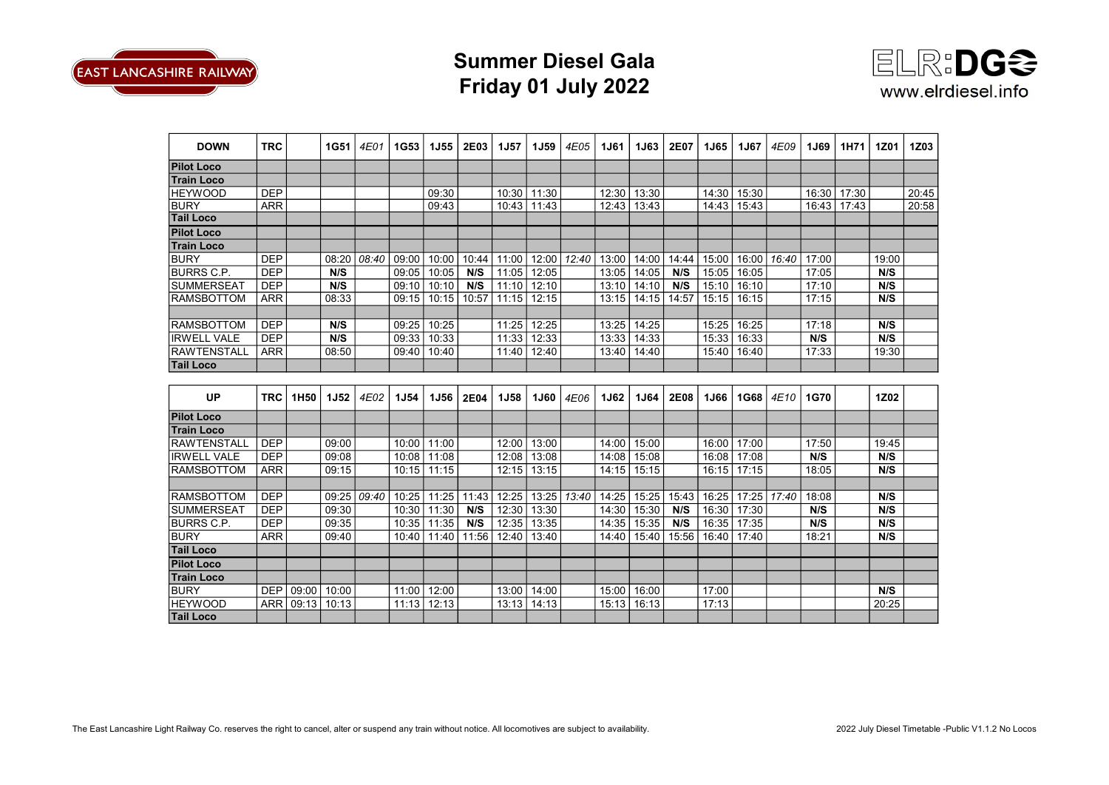

## Summer Diesel Gala Friday 01 July 2022



| <b>DOWN</b>        | <b>TRC</b> |       | <b>1G51</b> | 4E01  | <b>1G53</b> | <b>1J55</b> | <b>2E03</b> | <b>1J57</b> | <b>1J59</b> | 4E05  | <b>1J61</b> | <b>1J63</b> | 2E07  | <b>1J65</b> | <b>1J67</b> | 4E09  | 1J69  | 1H71  | <b>1Z01</b> | 1Z03  |
|--------------------|------------|-------|-------------|-------|-------------|-------------|-------------|-------------|-------------|-------|-------------|-------------|-------|-------------|-------------|-------|-------|-------|-------------|-------|
| <b>Pilot Loco</b>  |            |       |             |       |             |             |             |             |             |       |             |             |       |             |             |       |       |       |             |       |
| <b>Train Loco</b>  |            |       |             |       |             |             |             |             |             |       |             |             |       |             |             |       |       |       |             |       |
| <b>HEYWOOD</b>     | <b>DEP</b> |       |             |       |             | 09:30       |             | 10:30       | 11:30       |       | 12:30       | 13:30       |       | 14:30       | 15:30       |       | 16:30 | 17:30 |             | 20:45 |
| <b>BURY</b>        | <b>ARR</b> |       |             |       |             | 09:43       |             | 10:43       | 11:43       |       | 12:43       | 13:43       |       | 14:43       | 15:43       |       | 16:43 | 17:43 |             | 20:58 |
| <b>Tail Loco</b>   |            |       |             |       |             |             |             |             |             |       |             |             |       |             |             |       |       |       |             |       |
| <b>Pilot Loco</b>  |            |       |             |       |             |             |             |             |             |       |             |             |       |             |             |       |       |       |             |       |
| <b>Train Loco</b>  |            |       |             |       |             |             |             |             |             |       |             |             |       |             |             |       |       |       |             |       |
| <b>BURY</b>        | <b>DEP</b> |       | 08:20       | 08:40 | 09:00       | 10:00       | 10:44       | 11:00       | 12:00       | 12:40 | 13:00       | 14:00       | 14:44 | 15:00       | 16:00       | 16:40 | 17:00 |       | 19:00       |       |
| <b>BURRS C.P.</b>  | <b>DEP</b> |       | N/S         |       | 09:05       | 10:05       | N/S         | 11:05       | 12:05       |       | 13:05       | 14:05       | N/S   | 15:05       | 16:05       |       | 17:05 |       | N/S         |       |
| <b>SUMMERSEAT</b>  | <b>DEP</b> |       | N/S         |       | 09:10       | 10:10       | N/S         | 11:10       | 12:10       |       | 13:10       | 14:10       | N/S   | 15:10       | 16:10       |       | 17:10 |       | N/S         |       |
| <b>RAMSBOTTOM</b>  | <b>ARR</b> |       | 08:33       |       | 09:15       | 10:15       | 10:57       | 11:15       | 12:15       |       | 13:15       | 14:15       | 14:57 | 15:15       | 16:15       |       | 17:15 |       | N/S         |       |
|                    |            |       |             |       |             |             |             |             |             |       |             |             |       |             |             |       |       |       |             |       |
| <b>RAMSBOTTOM</b>  | <b>DEP</b> |       | N/S         |       | 09:25       | 10:25       |             | 11:25       | 12:25       |       | 13:25       | 14:25       |       | 15:25       | 16:25       |       | 17:18 |       | N/S         |       |
| <b>IRWELL VALE</b> | <b>DEP</b> |       | N/S         |       | 09:33       | 10:33       |             | 11:33       | 12:33       |       | 13:33       | 14:33       |       | 15:33       | 16:33       |       | N/S   |       | N/S         |       |
| <b>RAWTENSTALL</b> | <b>ARR</b> |       | 08:50       |       | 09:40       | 10:40       |             | 11:40       | 12:40       |       | 13:40       | 14:40       |       | 15:40       | 16:40       |       | 17:33 |       | 19:30       |       |
| <b>Tail Loco</b>   |            |       |             |       |             |             |             |             |             |       |             |             |       |             |             |       |       |       |             |       |
|                    |            |       |             |       |             |             |             |             |             |       |             |             |       |             |             |       |       |       |             |       |
| <b>UP</b>          | <b>TRC</b> | 1H50  | <b>1J52</b> | 4E02  | <b>1J54</b> | <b>1J56</b> | 2E04        | <b>1J58</b> | <b>1J60</b> | 4E06  | <b>1J62</b> | 1J64        | 2E08  | <b>1J66</b> | 1G68        | 4E10  | 1G70  |       | 1Z02        |       |
| <b>Pilot Loco</b>  |            |       |             |       |             |             |             |             |             |       |             |             |       |             |             |       |       |       |             |       |
| <b>Train Loco</b>  |            |       |             |       |             |             |             |             |             |       |             |             |       |             |             |       |       |       |             |       |
| RAWTENSTALL        | <b>DEP</b> |       | 09:00       |       | 10:00       | 11:00       |             | 12:00       | 13:00       |       | 14:00       | 15:00       |       | 16:00       | 17:00       |       | 17:50 |       | 19:45       |       |
| <b>IRWELL VALE</b> | <b>DEP</b> |       | 09:08       |       | 10:08       | 11:08       |             | 12:08       | 13:08       |       | 14:08       | 15:08       |       | 16:08       | 17:08       |       | N/S   |       | N/S         |       |
| <b>RAMSBOTTOM</b>  | <b>ARR</b> |       | 09:15       |       | 10:15       | 11:15       |             | 12:15       | 13:15       |       | 14:15       | 15:15       |       | 16:15       | 17:15       |       | 18:05 |       | N/S         |       |
|                    |            |       |             |       |             |             |             |             |             |       |             |             |       |             |             |       |       |       |             |       |
| <b>RAMSBOTTOM</b>  | <b>DEP</b> |       | 09:25       | 09:40 | 10:25       | 11:25       | 11:43       | 12:25       | 13:25       | 13:40 | 14:25       | 15:25       | 15:43 | 16:25       | 17:25       | 17:40 | 18:08 |       | N/S         |       |
| <b>SUMMERSEAT</b>  | <b>DEP</b> |       | 09:30       |       | 10:30       | 11:30       | N/S         | 12:30       | 13:30       |       | 14:30       | 15:30       | N/S   | 16:30       | 17:30       |       | N/S   |       | N/S         |       |
| <b>BURRS C.P.</b>  | <b>DEP</b> |       | 09:35       |       | 10:35       | 11:35       | N/S         | 12:35       | 13:35       |       | 14:35       | 15:35       | N/S   | 16:35       | 17:35       |       | N/S   |       | N/S         |       |
| <b>BURY</b>        | <b>ARR</b> |       | 09:40       |       | 10:40       | 11:40       | 11:56       | 12:40       | 13:40       |       | 14:40       | 15:40       | 15:56 | 16:40       | 17:40       |       | 18:21 |       | N/S         |       |
| <b>Tail Loco</b>   |            |       |             |       |             |             |             |             |             |       |             |             |       |             |             |       |       |       |             |       |
| <b>Pilot Loco</b>  |            |       |             |       |             |             |             |             |             |       |             |             |       |             |             |       |       |       |             |       |
| <b>Train Loco</b>  |            |       |             |       |             |             |             |             |             |       |             |             |       |             |             |       |       |       |             |       |
| <b>BURY</b>        | <b>DEP</b> | 09:00 | 10:00       |       | 11:00       | 12:00       |             | 13:00       | 14:00       |       | 15:00       | 16:00       |       | 17:00       |             |       |       |       | N/S         |       |
| <b>HEYWOOD</b>     | <b>ARR</b> | 09:13 | 10:13       |       | 11:13       | 12:13       |             | 13:13       | 14:13       |       | 15:13       | 16:13       |       | 17:13       |             |       |       |       | 20:25       |       |
| <b>Tail Loco</b>   |            |       |             |       |             |             |             |             |             |       |             |             |       |             |             |       |       |       |             |       |